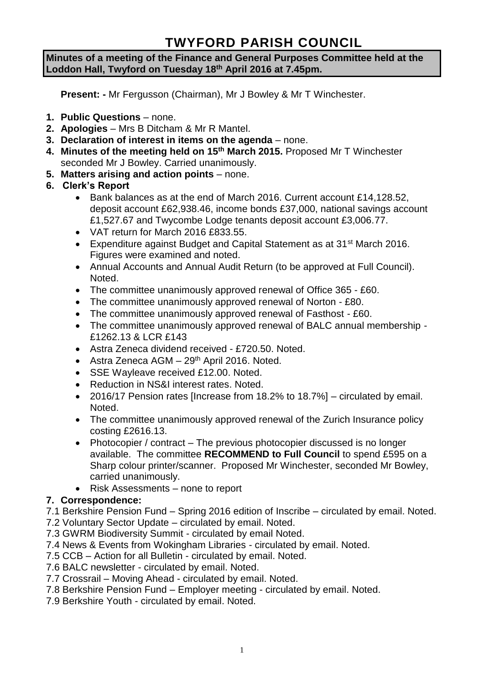# **TWYFORD PARISH COUNCIL**

#### **Minutes of a meeting of the Finance and General Purposes Committee held at the Loddon Hall, Twyford on Tuesday 18 th April 2016 at 7.45pm.**

**Present: -** Mr Fergusson (Chairman), Mr J Bowley & Mr T Winchester.

- **1. Public Questions** none.
- **2. Apologies** Mrs B Ditcham & Mr R Mantel.
- **3. Declaration of interest in items on the agenda**  none.
- **4. Minutes of the meeting held on 15th March 2015.** Proposed Mr T Winchester seconded Mr J Bowley. Carried unanimously.
- **5. Matters arising and action points** none.
- **6. Clerk's Report**
	- Bank balances as at the end of March 2016. Current account £14,128.52, deposit account £62,938.46, income bonds £37,000, national savings account £1,527.67 and Twycombe Lodge tenants deposit account £3,006.77.
	- VAT return for March 2016 £833.55.
	- Expenditure against Budget and Capital Statement as at 31<sup>st</sup> March 2016. Figures were examined and noted.
	- Annual Accounts and Annual Audit Return (to be approved at Full Council). Noted.
	- The committee unanimously approved renewal of Office 365 £60.
	- The committee unanimously approved renewal of Norton £80.
	- The committee unanimously approved renewal of Fasthost £60.
	- The committee unanimously approved renewal of BALC annual membership £1262.13 & LCR £143
	- Astra Zeneca dividend received £720.50. Noted.
	- Astra Zeneca  $AGM 29<sup>th</sup>$  April 2016. Noted.
	- SSE Wayleave received £12.00. Noted.
	- Reduction in NS&I interest rates. Noted.
	- 2016/17 Pension rates [Increase from 18.2% to 18.7%] circulated by email. Noted.
	- The committee unanimously approved renewal of the Zurich Insurance policy costing £2616.13.
	- Photocopier / contract The previous photocopier discussed is no longer available. The committee **RECOMMEND to Full Council** to spend £595 on a Sharp colour printer/scanner. Proposed Mr Winchester, seconded Mr Bowley, carried unanimously.
	- Risk Assessments none to report

### **7. Correspondence:**

- 7.1 Berkshire Pension Fund Spring 2016 edition of Inscribe circulated by email. Noted.
- 7.2 Voluntary Sector Update circulated by email. Noted.
- 7.3 GWRM Biodiversity Summit circulated by email Noted.
- 7.4 News & Events from Wokingham Libraries circulated by email. Noted.
- 7.5 CCB Action for all Bulletin circulated by email. Noted.
- 7.6 BALC newsletter circulated by email. Noted.
- 7.7 Crossrail Moving Ahead circulated by email. Noted.
- 7.8 Berkshire Pension Fund Employer meeting circulated by email. Noted.
- 7.9 Berkshire Youth circulated by email. Noted.